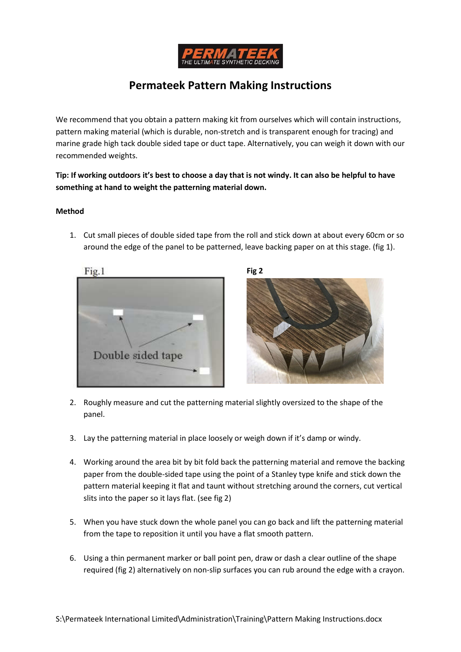

## Permateek Pattern Making Instructions

We recommend that you obtain a pattern making kit from ourselves which will contain instructions, pattern making material (which is durable, non-stretch and is transparent enough for tracing) and marine grade high tack double sided tape or duct tape. Alternatively, you can weigh it down with our recommended weights.

Tip: If working outdoors it's best to choose a day that is not windy. It can also be helpful to have something at hand to weight the patterning material down.

## Method

1. Cut small pieces of double sided tape from the roll and stick down at about every 60cm or so around the edge of the panel to be patterned, leave backing paper on at this stage. (fig 1).





- 2. Roughly measure and cut the patterning material slightly oversized to the shape of the panel.
- 3. Lay the patterning material in place loosely or weigh down if it's damp or windy.
- 4. Working around the area bit by bit fold back the patterning material and remove the backing paper from the double-sided tape using the point of a Stanley type knife and stick down the pattern material keeping it flat and taunt without stretching around the corners, cut vertical slits into the paper so it lays flat. (see fig 2)
- 5. When you have stuck down the whole panel you can go back and lift the patterning material from the tape to reposition it until you have a flat smooth pattern.
- 6. Using a thin permanent marker or ball point pen, draw or dash a clear outline of the shape required (fig 2) alternatively on non-slip surfaces you can rub around the edge with a crayon.